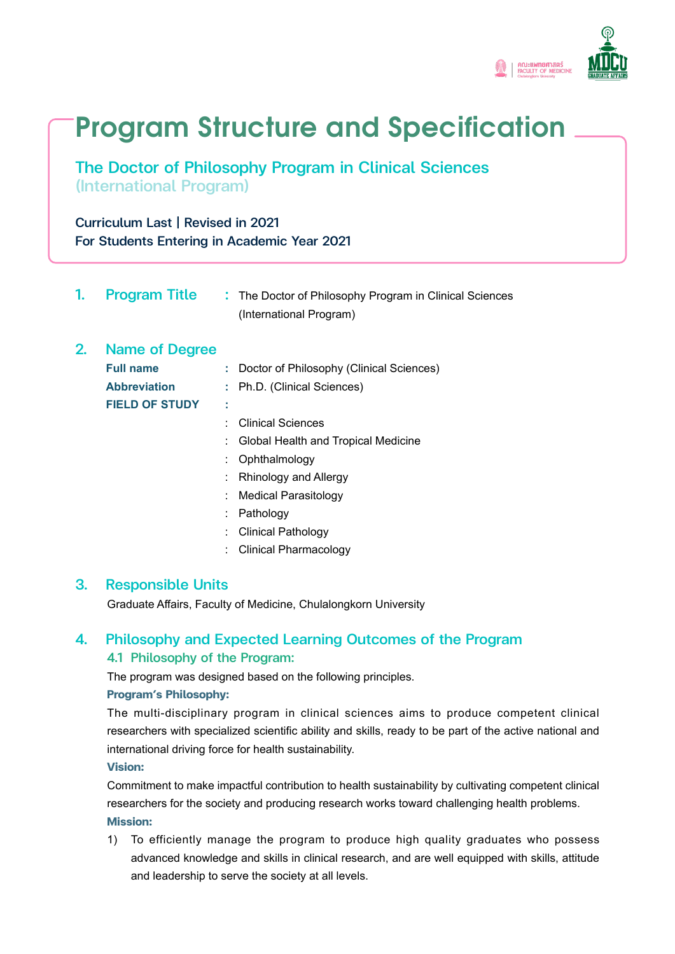

# **Program Structure and Specification**

The Doctor of Philosophy Program in Clinical Sciences (International Program)

Curriculum Last | Revised in 2021 For Students Entering in Academic Year 2021

|    | <b>Program Title</b>  |   | : The Doctor of Philosophy Program in Clinical Sciences<br>(International Program) |
|----|-----------------------|---|------------------------------------------------------------------------------------|
| 2. | <b>Name of Degree</b> |   |                                                                                    |
|    | <b>Full name</b>      |   | : Doctor of Philosophy (Clinical Sciences)                                         |
|    | <b>Abbreviation</b>   |   | : Ph.D. (Clinical Sciences)                                                        |
|    | <b>FIELD OF STUDY</b> | ٠ |                                                                                    |
|    |                       |   | <b>Clinical Sciences</b>                                                           |
|    |                       |   | Global Health and Tropical Medicine                                                |
|    |                       |   | Ophthalmology                                                                      |
|    |                       |   | Rhinology and Allergy                                                              |
|    |                       |   | <b>Medical Parasitology</b>                                                        |
|    |                       |   | Pathology                                                                          |
|    |                       |   | <b>Clinical Pathology</b>                                                          |
|    |                       |   | Clinical Pharmacology                                                              |

# 3. Responsible Units

Graduate Affairs, Faculty of Medicine, Chulalongkorn University

# 4. Philosophy and Expected Learning Outcomes of the Program 4.1 Philosophy of the Program:

The program was designed based on the following principles.

### **Program's Philosophy:**

 The multi-disciplinary program in clinical sciences aims to produce competent clinical researchers with specialized scientific ability and skills, ready to be part of the active national and international driving force for health sustainability.

**Vision:** 

 Commitment to make impactful contribution to health sustainability by cultivating competent clinical researchers for the society and producing research works toward challenging health problems. **Mission:** 

1) To efficiently manage the program to produce high quality graduates who possess advanced knowledge and skills in clinical research, and are well equipped with skills, attitude and leadership to serve the society at all levels.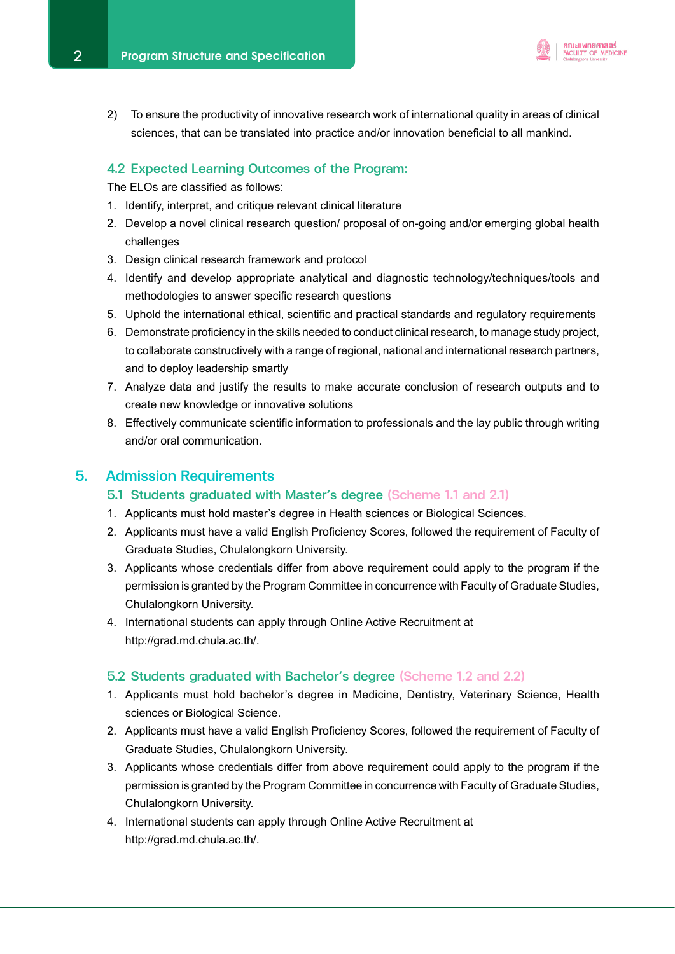

2) To ensure the productivity of innovative research work of international quality in areas of clinical sciences, that can be translated into practice and/or innovation beneficial to all mankind.

#### 4.2 Expected Learning Outcomes of the Program:

The ELOs are classified as follows:

- 1. Identify, interpret, and critique relevant clinical literature
- 2. Develop a novel clinical research question/ proposal of on-going and/or emerging global health challenges
- 3. Design clinical research framework and protocol
- 4. Identify and develop appropriate analytical and diagnostic technology/techniques/tools and methodologies to answer specific research questions
- 5. Uphold the international ethical, scientific and practical standards and regulatory requirements
- 6. Demonstrate proficiency in the skills needed to conduct clinical research, to manage study project, to collaborate constructively with a range of regional, national and international research partners, and to deploy leadership smartly
- 7. Analyze data and justify the results to make accurate conclusion of research outputs and to create new knowledge or innovative solutions
- 8. Effectively communicate scientific information to professionals and the lay public through writing and/or oral communication.

# 5. Admission Requirements

- 5.1 Students graduated with Master's degree (Scheme 1.1 and 2.1)
- 1. Applicants must hold master's degree in Health sciences or Biological Sciences.
- 2. Applicants must have a valid English Proficiency Scores, followed the requirement of Faculty of Graduate Studies, Chulalongkorn University.
- 3. Applicants whose credentials differ from above requirement could apply to the program if the permission is granted by the Program Committee in concurrence with Faculty of Graduate Studies, Chulalongkorn University.
- 4. International students can apply through Online Active Recruitment at http://grad.md.chula.ac.th/.

#### 5.2 Students graduated with Bachelor's degree (Scheme 1.2 and 2.2)

- 1. Applicants must hold bachelor's degree in Medicine, Dentistry, Veterinary Science, Health sciences or Biological Science.
- 2. Applicants must have a valid English Proficiency Scores, followed the requirement of Faculty of Graduate Studies, Chulalongkorn University.
- 3. Applicants whose credentials differ from above requirement could apply to the program if the permission is granted by the Program Committee in concurrence with Faculty of Graduate Studies, Chulalongkorn University.
- 4. International students can apply through Online Active Recruitment at http://grad.md.chula.ac.th/.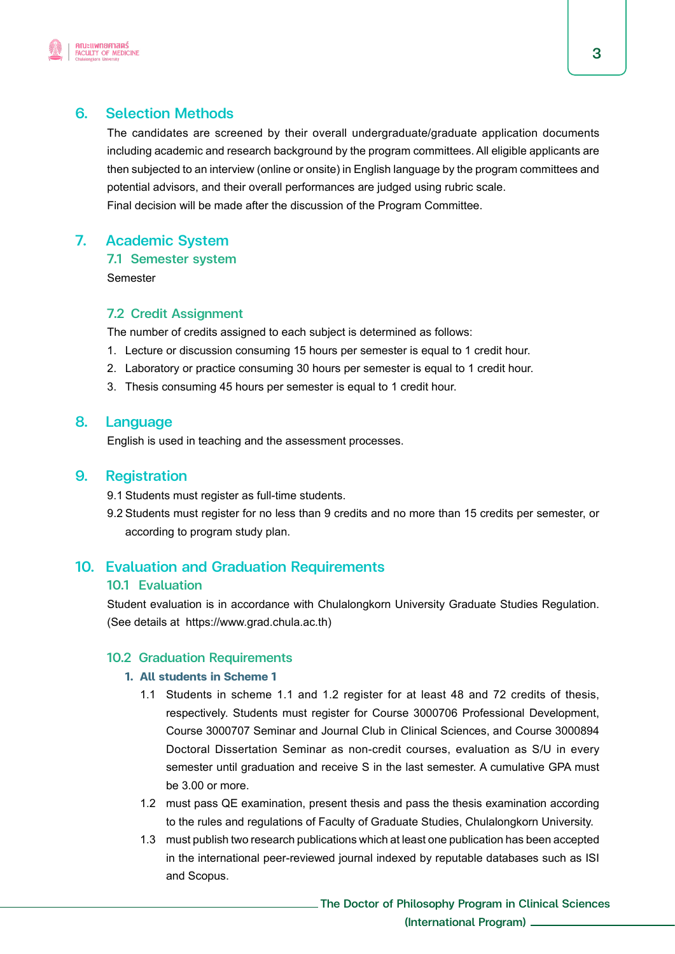

# 6. Selection Methods

 The candidates are screened by their overall undergraduate/graduate application documents including academic and research background by the program committees. All eligible applicants are then subjected to an interview (online or onsite) in English language by the program committees and potential advisors, and their overall performances are judged using rubric scale. Final decision will be made after the discussion of the Program Committee.

# 7. Academic System

### 7.1 Semester system

Semester

# 7.2 Credit Assignment

The number of credits assigned to each subject is determined as follows:

- 1. Lecture or discussion consuming 15 hours per semester is equal to 1 credit hour.
- 2. Laboratory or practice consuming 30 hours per semester is equal to 1 credit hour.
- 3. Thesis consuming 45 hours per semester is equal to 1 credit hour.

# 8. Language

English is used in teaching and the assessment processes.

# 9. Registration

- 9.1 Students must register as full-time students.
- 9.2 Students must register for no less than 9 credits and no more than 15 credits per semester, or according to program study plan.

# 10. Evaluation and Graduation Requirements

# 10.1 Evaluation

 Student evaluation is in accordance with Chulalongkorn University Graduate Studies Regulation. (See details at https://www.grad.chula.ac.th)

# 10.2 Graduation Requirements

### **1. All students in Scheme 1**

- 1.1 Students in scheme 1.1 and 1.2 register for at least 48 and 72 credits of thesis, respectively. Students must register for Course 3000706 Professional Development, Course 3000707 Seminar and Journal Club in Clinical Sciences, and Course 3000894 Doctoral Dissertation Seminar as non-credit courses, evaluation as S/U in every semester until graduation and receive S in the last semester. A cumulative GPA must be 3.00 or more.
- 1.2 must pass QE examination, present thesis and pass the thesis examination according to the rules and regulations of Faculty of Graduate Studies, Chulalongkorn University.
- 1.3 must publish two research publications which at least one publication has been accepted in the international peer-reviewed journal indexed by reputable databases such as ISI and Scopus.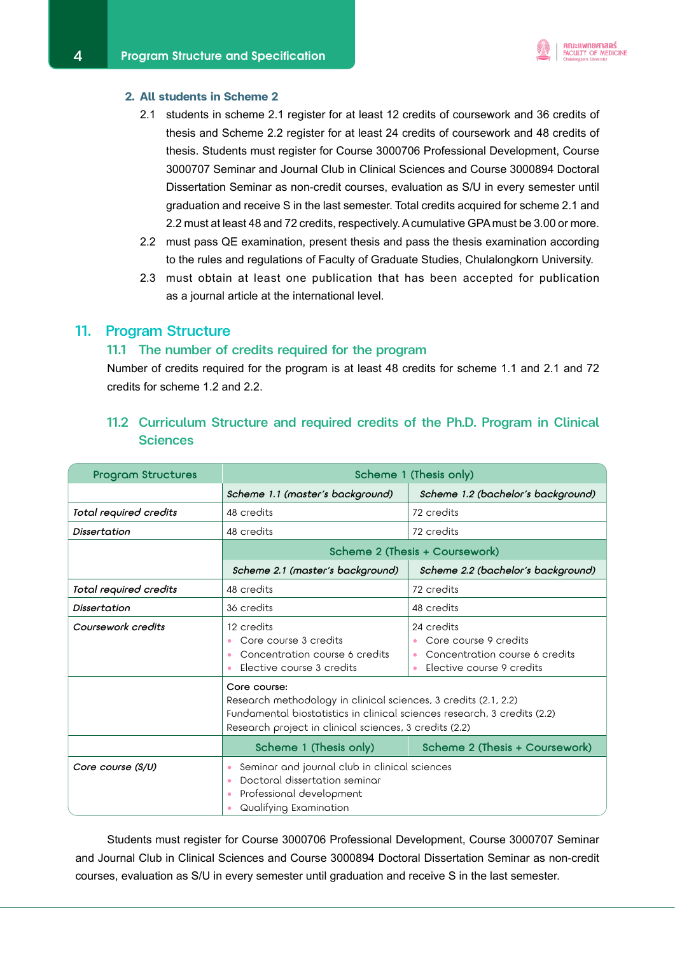#### **2. All students in Scheme 2**

 2.1 students in scheme 2.1 register for at least 12 credits of coursework and 36 credits of thesis and Scheme 2.2 register for at least 24 credits of coursework and 48 credits of thesis. Students must register for Course 3000706 Professional Development, Course 3000707 Seminar and Journal Club in Clinical Sciences and Course 3000894 Doctoral Dissertation Seminar as non-credit courses, evaluation as S/U in every semester until graduation and receive S in the last semester. Total credits acquired for scheme 2.1 and 2.2 must at least 48 and 72 credits, respectively. A cumulative GPA must be 3.00 or more.

คณะแพทยศาสตร์ **FACULTY OF MEDICINE** 

- 2.2 must pass QE examination, present thesis and pass the thesis examination according to the rules and regulations of Faculty of Graduate Studies, Chulalongkorn University.
- 2.3 must obtain at least one publication that has been accepted for publication as a journal article at the international level.

#### 11. Program Structure

#### 11.1 The number of credits required for the program

 Number of credits required for the program is at least 48 credits for scheme 1.1 and 2.1 and 72 credits for scheme 1.2 and 2.2.

| <b>Program Structures</b> | Scheme 1 (Thesis only)                                                                                                                                                                                                |                                                                                                                              |  |
|---------------------------|-----------------------------------------------------------------------------------------------------------------------------------------------------------------------------------------------------------------------|------------------------------------------------------------------------------------------------------------------------------|--|
|                           | Scheme 1.1 (master's background)                                                                                                                                                                                      | Scheme 1.2 (bachelor's background)                                                                                           |  |
| Total required credits    | 48 credits                                                                                                                                                                                                            | 72 credits                                                                                                                   |  |
| Dissertation              | 48 credits                                                                                                                                                                                                            | 72 credits                                                                                                                   |  |
|                           | Scheme 2 (Thesis + Coursework)                                                                                                                                                                                        |                                                                                                                              |  |
|                           | Scheme 2.1 (master's background)                                                                                                                                                                                      | Scheme 2.2 (bachelor's background)                                                                                           |  |
| Total required credits    | 48 credits                                                                                                                                                                                                            | 72 credits                                                                                                                   |  |
| Dissertation              | 36 credits                                                                                                                                                                                                            | 48 credits                                                                                                                   |  |
| Coursework credits        | 12 credits<br>Core course 3 credits<br>Concentration course 6 credits<br>$\bullet$<br>Elective course 3 credits                                                                                                       | 24 credits<br>Core course 9 credits<br>Concentration course 6 credits<br>$\bullet$<br>Elective course 9 credits<br>$\bullet$ |  |
|                           | Core course:<br>Research methodology in clinical sciences, 3 credits (2.1, 2.2)<br>Fundamental biostatistics in clinical sciences research, 3 credits (2.2)<br>Research project in clinical sciences, 3 credits (2.2) |                                                                                                                              |  |
|                           | Scheme 1 (Thesis only)                                                                                                                                                                                                | Scheme 2 (Thesis + Coursework)                                                                                               |  |
| Core course (S/U)         | Seminar and journal club in clinical sciences<br>۰<br>Doctoral dissertation seminar<br>۰<br>Professional development<br>۰<br>Qualifying Examination<br>۰                                                              |                                                                                                                              |  |

# 11.2 Curriculum Structure and required credits of the Ph.D. Program in Clinical **Sciences**

Students must register for Course 3000706 Professional Development, Course 3000707 Seminar and Journal Club in Clinical Sciences and Course 3000894 Doctoral Dissertation Seminar as non-credit courses, evaluation as S/U in every semester until graduation and receive S in the last semester.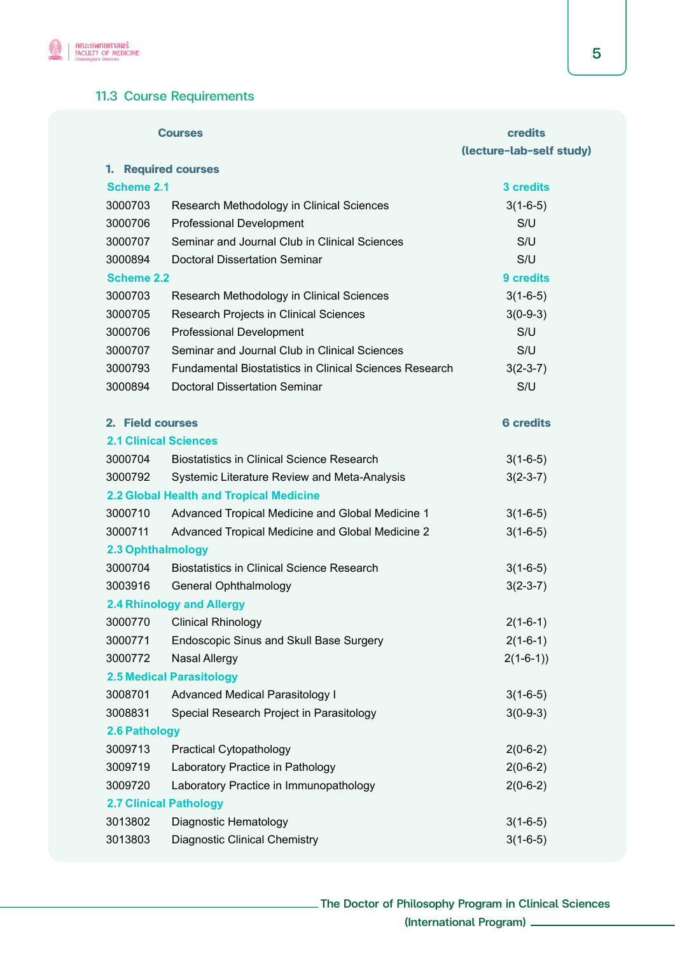

# 11.3 Course Requirements

|                              | <b>Courses</b>                                                 | credits                  |
|------------------------------|----------------------------------------------------------------|--------------------------|
|                              |                                                                | (lecture-lab-self study) |
| 1.                           | <b>Required courses</b>                                        |                          |
| <b>Scheme 2.1</b>            |                                                                | 3 credits                |
| 3000703                      | Research Methodology in Clinical Sciences                      | $3(1-6-5)$               |
| 3000706                      | <b>Professional Development</b>                                | S/U                      |
| 3000707                      | Seminar and Journal Club in Clinical Sciences                  | S/U                      |
| 3000894                      | <b>Doctoral Dissertation Seminar</b>                           | S/U                      |
| <b>Scheme 2.2</b>            |                                                                | 9 credits                |
| 3000703                      | Research Methodology in Clinical Sciences                      | $3(1-6-5)$               |
| 3000705                      | Research Projects in Clinical Sciences                         | $3(0-9-3)$               |
| 3000706                      | <b>Professional Development</b>                                | S/U                      |
| 3000707                      | Seminar and Journal Club in Clinical Sciences                  | S/U                      |
| 3000793                      | <b>Fundamental Biostatistics in Clinical Sciences Research</b> | $3(2-3-7)$               |
| 3000894                      | <b>Doctoral Dissertation Seminar</b>                           | S/U                      |
| 2. Field courses             |                                                                | <b>6 credits</b>         |
| <b>2.1 Clinical Sciences</b> |                                                                |                          |
| 3000704                      | <b>Biostatistics in Clinical Science Research</b>              | $3(1-6-5)$               |
| 3000792                      | Systemic Literature Review and Meta-Analysis                   | $3(2-3-7)$               |
|                              | 2.2 Global Health and Tropical Medicine                        |                          |
| 3000710                      | Advanced Tropical Medicine and Global Medicine 1               | $3(1-6-5)$               |
| 3000711                      | Advanced Tropical Medicine and Global Medicine 2               | $3(1-6-5)$               |
| 2.3 Ophthalmology            |                                                                |                          |
| 3000704                      | <b>Biostatistics in Clinical Science Research</b>              | $3(1-6-5)$               |
| 3003916                      | <b>General Ophthalmology</b>                                   | $3(2-3-7)$               |
|                              | 2.4 Rhinology and Allergy                                      |                          |
| 3000770                      | <b>Clinical Rhinology</b>                                      | $2(1-6-1)$               |
| 3000771                      | <b>Endoscopic Sinus and Skull Base Surgery</b>                 | $2(1-6-1)$               |
| 3000772                      | <b>Nasal Allergy</b>                                           | $2(1-6-1)$               |
|                              | <b>2.5 Medical Parasitology</b>                                |                          |
| 3008701                      | <b>Advanced Medical Parasitology I</b>                         | $3(1-6-5)$               |
| 3008831                      | Special Research Project in Parasitology                       | $3(0-9-3)$               |
| 2.6 Pathology                |                                                                |                          |
| 3009713                      | <b>Practical Cytopathology</b>                                 | $2(0-6-2)$               |
| 3009719                      | Laboratory Practice in Pathology                               | $2(0-6-2)$               |
| 3009720                      | Laboratory Practice in Immunopathology                         | $2(0-6-2)$               |
|                              | <b>2.7 Clinical Pathology</b>                                  |                          |
| 3013802                      | Diagnostic Hematology                                          | $3(1-6-5)$               |
| 3013803                      | <b>Diagnostic Clinical Chemistry</b>                           | $3(1-6-5)$               |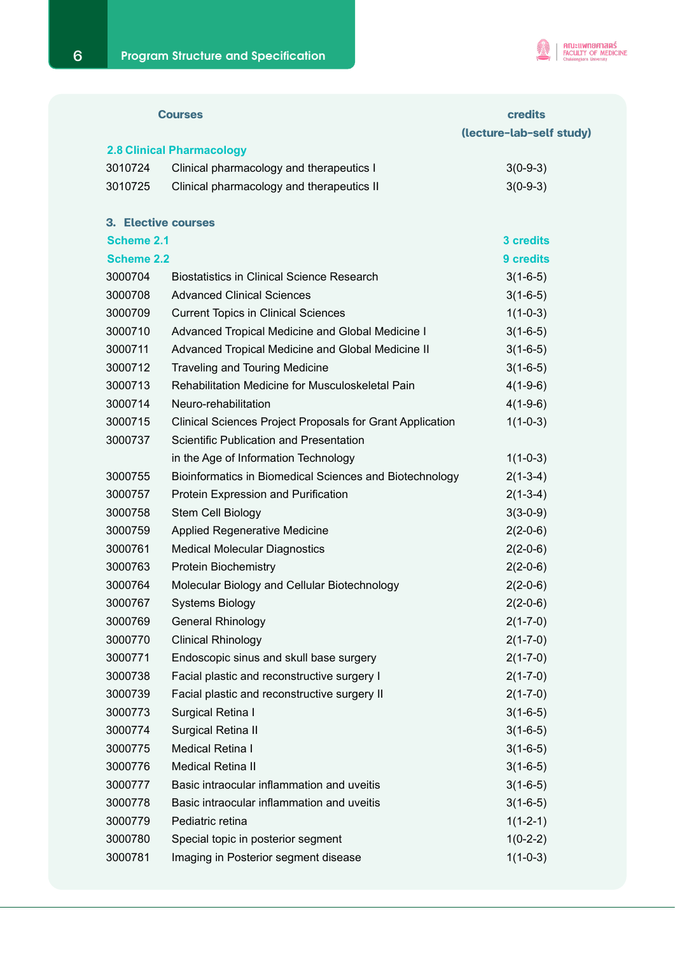

|                   | <b>Courses</b>                                                   | <b>credits</b>           |
|-------------------|------------------------------------------------------------------|--------------------------|
|                   |                                                                  | (lecture-lab-self study) |
|                   | <b>2.8 Clinical Pharmacology</b>                                 |                          |
| 3010724           | Clinical pharmacology and therapeutics I                         | $3(0-9-3)$               |
| 3010725           | Clinical pharmacology and therapeutics II                        | $3(0-9-3)$               |
|                   | <b>3. Elective courses</b>                                       |                          |
| Scheme 2.1        |                                                                  | 3 credits                |
| <b>Scheme 2.2</b> |                                                                  | 9 credits                |
| 3000704           | <b>Biostatistics in Clinical Science Research</b>                | $3(1-6-5)$               |
| 3000708           | <b>Advanced Clinical Sciences</b>                                | $3(1-6-5)$               |
| 3000709           | <b>Current Topics in Clinical Sciences</b>                       | $1(1-0-3)$               |
| 3000710           | Advanced Tropical Medicine and Global Medicine I                 | $3(1-6-5)$               |
| 3000711           | Advanced Tropical Medicine and Global Medicine II                | $3(1-6-5)$               |
| 3000712           | <b>Traveling and Touring Medicine</b>                            | $3(1-6-5)$               |
| 3000713           | Rehabilitation Medicine for Musculoskeletal Pain                 | $4(1-9-6)$               |
| 3000714           | Neuro-rehabilitation                                             | $4(1-9-6)$               |
| 3000715           | <b>Clinical Sciences Project Proposals for Grant Application</b> | $1(1-0-3)$               |
| 3000737           | Scientific Publication and Presentation                          |                          |
|                   | in the Age of Information Technology                             | $1(1-0-3)$               |
| 3000755           | Bioinformatics in Biomedical Sciences and Biotechnology          | $2(1-3-4)$               |
| 3000757           | Protein Expression and Purification                              | $2(1-3-4)$               |
| 3000758           | Stem Cell Biology                                                | $3(3-0-9)$               |
| 3000759           | <b>Applied Regenerative Medicine</b>                             | $2(2-0-6)$               |
| 3000761           | <b>Medical Molecular Diagnostics</b>                             | $2(2-0-6)$               |
| 3000763           | <b>Protein Biochemistry</b>                                      | $2(2-0-6)$               |
| 3000764           | Molecular Biology and Cellular Biotechnology                     | $2(2-0-6)$               |
| 3000767           | <b>Systems Biology</b>                                           | $2(2-0-6)$               |
| 3000769           | <b>General Rhinology</b>                                         | $2(1 - 7 - 0)$           |
| 3000770           | <b>Clinical Rhinology</b>                                        | $2(1 - 7 - 0)$           |
| 3000771           | Endoscopic sinus and skull base surgery                          | $2(1 - 7 - 0)$           |
| 3000738           | Facial plastic and reconstructive surgery I                      | $2(1 - 7 - 0)$           |
| 3000739           | Facial plastic and reconstructive surgery II                     | $2(1 - 7 - 0)$           |
| 3000773           | Surgical Retina I                                                | $3(1-6-5)$               |
| 3000774           | Surgical Retina II                                               | $3(1-6-5)$               |
| 3000775           | Medical Retina I                                                 | $3(1-6-5)$               |
| 3000776           | <b>Medical Retina II</b>                                         | $3(1-6-5)$               |
| 3000777           | Basic intraocular inflammation and uveitis                       | $3(1-6-5)$               |
| 3000778           | Basic intraocular inflammation and uveitis                       | $3(1-6-5)$               |
| 3000779           | Pediatric retina                                                 | $1(1-2-1)$               |
| 3000780           | Special topic in posterior segment                               | $1(0-2-2)$               |
| 3000781           | Imaging in Posterior segment disease                             | $1(1-0-3)$               |
|                   |                                                                  |                          |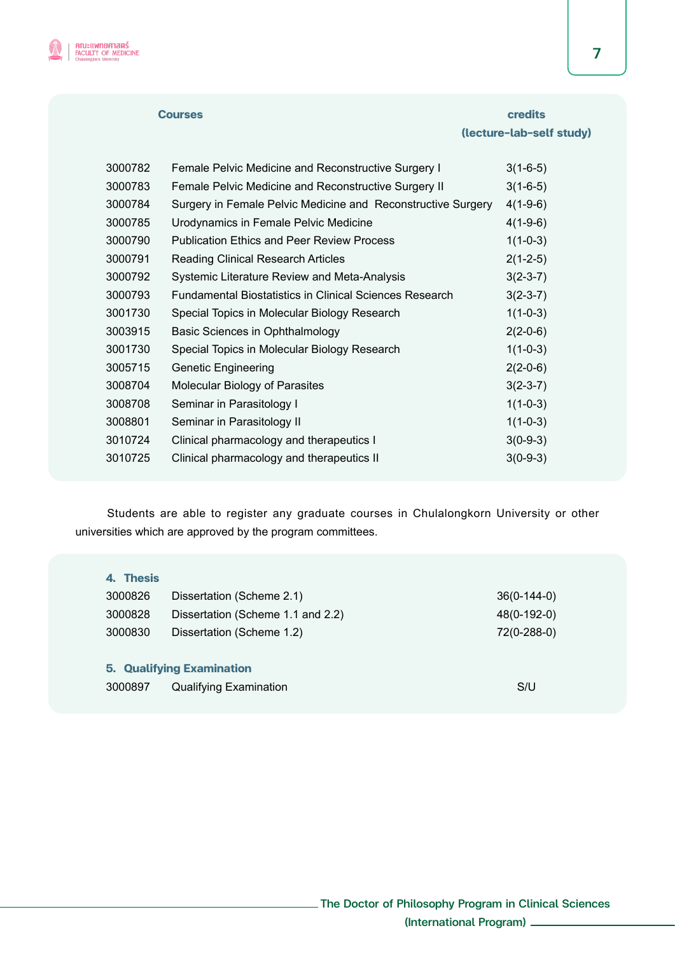

# **Courses credits Courses** credits  *Courses* credits  *Courses* credits  *Courses*  **(lecture-lab-self study)**

| 3000782 | Female Pelvic Medicine and Reconstructive Surgery I            | $3(1-6-5)$ |
|---------|----------------------------------------------------------------|------------|
| 3000783 | Female Pelvic Medicine and Reconstructive Surgery II           | $3(1-6-5)$ |
| 3000784 | Surgery in Female Pelvic Medicine and Reconstructive Surgery   | $4(1-9-6)$ |
| 3000785 | Urodynamics in Female Pelvic Medicine                          | $4(1-9-6)$ |
| 3000790 | <b>Publication Ethics and Peer Review Process</b>              | $1(1-0-3)$ |
| 3000791 | <b>Reading Clinical Research Articles</b>                      | $2(1-2-5)$ |
| 3000792 | Systemic Literature Review and Meta-Analysis                   | $3(2-3-7)$ |
| 3000793 | <b>Fundamental Biostatistics in Clinical Sciences Research</b> | $3(2-3-7)$ |
| 3001730 | Special Topics in Molecular Biology Research                   | $1(1-0-3)$ |
| 3003915 | Basic Sciences in Ophthalmology                                | $2(2-0-6)$ |
| 3001730 | Special Topics in Molecular Biology Research                   | $1(1-0-3)$ |
| 3005715 | <b>Genetic Engineering</b>                                     | $2(2-0-6)$ |
| 3008704 | Molecular Biology of Parasites                                 | $3(2-3-7)$ |
| 3008708 | Seminar in Parasitology I                                      | $1(1-0-3)$ |
| 3008801 | Seminar in Parasitology II                                     | $1(1-0-3)$ |
| 3010724 | Clinical pharmacology and therapeutics I                       | $3(0-9-3)$ |
| 3010725 | Clinical pharmacology and therapeutics II                      | $3(0-9-3)$ |
|         |                                                                |            |

Students are able to register any graduate courses in Chulalongkorn University or other universities which are approved by the program committees.

#### **4. Thesis**

| 3000826                          | Dissertation (Scheme 2.1)         | $36(0-144-0)$ |  |
|----------------------------------|-----------------------------------|---------------|--|
| 3000828                          | Dissertation (Scheme 1.1 and 2.2) | 48(0-192-0)   |  |
| 3000830                          | Dissertation (Scheme 1.2)         | 72(0-288-0)   |  |
| <b>5. Qualifying Examination</b> |                                   |               |  |

3000897 Qualifying Examination S/U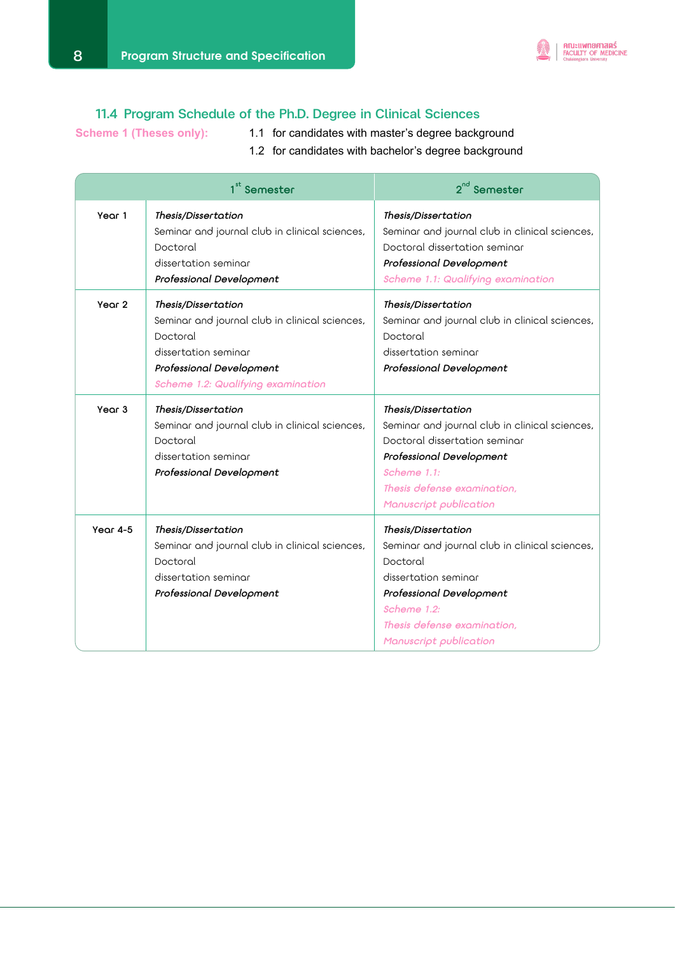

# 11.4 Program Schedule of the Ph.D. Degree in Clinical Sciences

- Scheme 1 (Theses only): 1.1 for candidates with master's degree background
	- 1.2 for candidates with bachelor's degree background

|                   | 1 <sup>st</sup> Semester                                                                                                                                                    | $2^{nd}$ Semester                                                                                                                                                                                             |
|-------------------|-----------------------------------------------------------------------------------------------------------------------------------------------------------------------------|---------------------------------------------------------------------------------------------------------------------------------------------------------------------------------------------------------------|
| Year 1            | Thesis/Dissertation<br>Seminar and journal club in clinical sciences,<br>Doctoral<br>dissertation seminar<br>Professional Development                                       | Thesis/Dissertation<br>Seminar and journal club in clinical sciences,<br>Doctoral dissertation seminar<br>Professional Development<br>Scheme 1.1: Qualifying examination                                      |
| Year <sub>2</sub> | Thesis/Dissertation<br>Seminar and journal club in clinical sciences,<br>Doctoral<br>dissertation seminar<br>Professional Development<br>Scheme 1.2: Qualifying examination | Thesis/Dissertation<br>Seminar and journal club in clinical sciences,<br>Doctoral<br>dissertation seminar<br>Professional Development                                                                         |
| Year 3            | Thesis/Dissertation<br>Seminar and journal club in clinical sciences,<br>Doctoral<br>dissertation seminar<br>Professional Development                                       | Thesis/Dissertation<br>Seminar and journal club in clinical sciences,<br>Doctoral dissertation seminar<br>Professional Development<br>Scheme 1.1:<br>Thesis defense examination,<br>Manuscript publication    |
| Year $4-5$        | Thesis/Dissertation<br>Seminar and journal club in clinical sciences,<br>Doctoral<br>dissertation seminar<br>Professional Development                                       | Thesis/Dissertation<br>Seminar and journal club in clinical sciences,<br>Doctoral<br>dissertation seminar<br>Professional Development<br>Scheme 1.2:<br>Thesis defense examination,<br>Manuscript publication |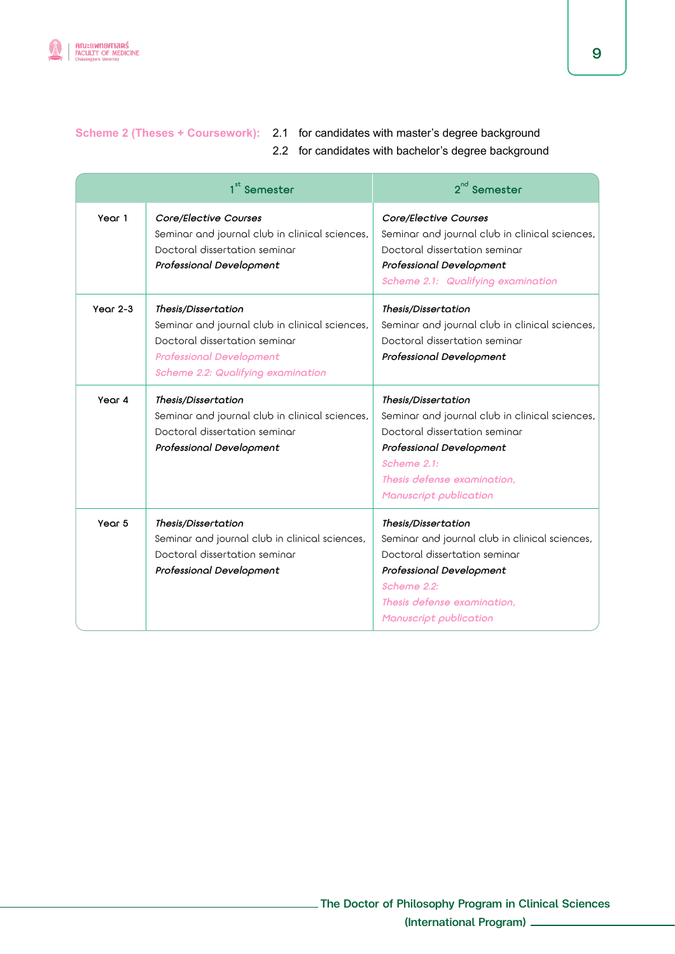

# **Scheme 2 (Theses + Coursework):** 2.1 for candidates with master's degree background

2.2 for candidates with bachelor's degree background

|            | 1 <sup>st</sup> Semester                                                                                                                                                        | 2 <sup>nd</sup> Semester                                                                                                                                                                                   |
|------------|---------------------------------------------------------------------------------------------------------------------------------------------------------------------------------|------------------------------------------------------------------------------------------------------------------------------------------------------------------------------------------------------------|
| Year 1     | Core/Elective Courses<br>Seminar and journal club in clinical sciences,<br>Doctoral dissertation seminar<br>Professional Development                                            | Core/Elective Courses<br>Seminar and journal club in clinical sciences,<br>Doctoral dissertation seminar<br>Professional Development<br>Scheme 2.1: Qualifying examination                                 |
| Year $2-3$ | Thesis/Dissertation<br>Seminar and journal club in clinical sciences,<br>Doctoral dissertation seminar<br><b>Professional Development</b><br>Scheme 2.2: Qualifying examination | Thesis/Dissertation<br>Seminar and journal club in clinical sciences,<br>Doctoral dissertation seminar<br>Professional Development                                                                         |
| Year 4     | Thesis/Dissertation<br>Seminar and journal club in clinical sciences,<br>Doctoral dissertation seminar<br>Professional Development                                              | Thesis/Dissertation<br>Seminar and journal club in clinical sciences,<br>Doctoral dissertation seminar<br>Professional Development<br>Scheme 2.1:<br>Thesis defense examination.<br>Manuscript publication |
| Year 5     | Thesis/Dissertation<br>Seminar and journal club in clinical sciences,<br>Doctoral dissertation seminar<br>Professional Development                                              | Thesis/Dissertation<br>Seminar and journal club in clinical sciences,<br>Doctoral dissertation seminar<br>Professional Development<br>Scheme 2.2:<br>Thesis defense examination,<br>Manuscript publication |

9